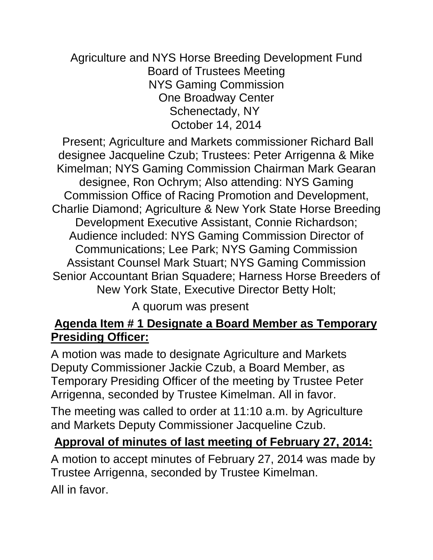Agriculture and NYS Horse Breeding Development Fund Board of Trustees Meeting NYS Gaming Commission One Broadway Center Schenectady, NY October 14, 2014

Present; Agriculture and Markets commissioner Richard Ball designee Jacqueline Czub; Trustees: Peter Arrigenna & Mike Kimelman; NYS Gaming Commission Chairman Mark Gearan designee, Ron Ochrym; Also attending: NYS Gaming Commission Office of Racing Promotion and Development, Charlie Diamond; Agriculture & New York State Horse Breeding Development Executive Assistant, Connie Richardson; Audience included: NYS Gaming Commission Director of Communications; Lee Park; NYS Gaming Commission Assistant Counsel Mark Stuart; NYS Gaming Commission Senior Accountant Brian Squadere; Harness Horse Breeders of New York State, Executive Director Betty Holt;

A quorum was present

#### **Agenda Item # 1 Designate a Board Member as Temporary Presiding Officer:**

A motion was made to designate Agriculture and Markets Deputy Commissioner Jackie Czub, a Board Member, as Temporary Presiding Officer of the meeting by Trustee Peter Arrigenna, seconded by Trustee Kimelman. All in favor.

The meeting was called to order at 11:10 a.m. by Agriculture and Markets Deputy Commissioner Jacqueline Czub.

#### **Approval of minutes of last meeting of February 27, 2014:**

A motion to accept minutes of February 27, 2014 was made by Trustee Arrigenna, seconded by Trustee Kimelman. All in favor.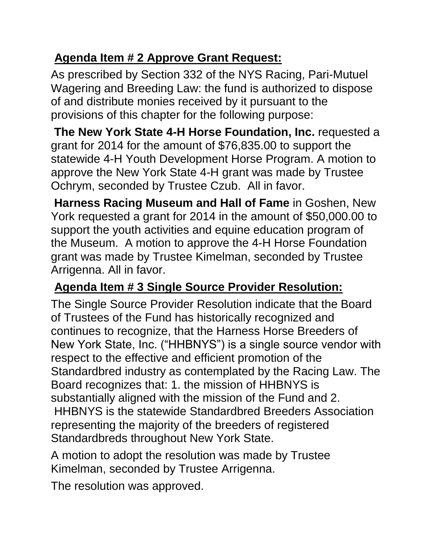# **Agenda Item # 2 Approve Grant Request:**

As prescribed by Section 332 of the NYS Racing, Pari-Mutuel Wagering and Breeding Law: the fund is authorized to dispose of and distribute monies received by it pursuant to the provisions of this chapter for the following purpose:

**The New York State 4-H Horse Foundation, Inc.** requested a grant for 2014 for the amount of \$76,835.00 to support the statewide 4-H Youth Development Horse Program. A motion to approve the New York State 4-H grant was made by Trustee Ochrym, seconded by Trustee Czub. All in favor.

**Harness Racing Museum and Hall of Fame** in Goshen, New York requested a grant for 2014 in the amount of \$50,000.00 to support the youth activities and equine education program of the Museum. A motion to approve the 4-H Horse Foundation grant was made by Trustee Kimelman, seconded by Trustee Arrigenna. All in favor.

# **Agenda Item # 3 Single Source Provider Resolution:**

The Single Source Provider Resolution indicate that the Board of Trustees of the Fund has historically recognized and continues to recognize, that the Harness Horse Breeders of New York State, Inc. ("HHBNYS") is a single source vendor with respect to the effective and efficient promotion of the Standardbred industry as contemplated by the Racing Law. The Board recognizes that: 1. the mission of HHBNYS is substantially aligned with the mission of the Fund and 2. HHBNYS is the statewide Standardbred Breeders Association representing the majority of the breeders of registered Standardbreds throughout New York State.

A motion to adopt the resolution was made by Trustee Kimelman, seconded by Trustee Arrigenna.

The resolution was approved.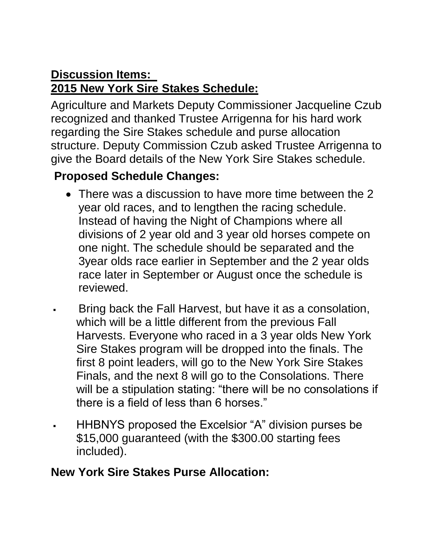#### **Discussion Items: 2015 New York Sire Stakes Schedule:**

Agriculture and Markets Deputy Commissioner Jacqueline Czub recognized and thanked Trustee Arrigenna for his hard work regarding the Sire Stakes schedule and purse allocation structure. Deputy Commission Czub asked Trustee Arrigenna to give the Board details of the New York Sire Stakes schedule.

### **Proposed Schedule Changes:**

- There was a discussion to have more time between the 2 year old races, and to lengthen the racing schedule. Instead of having the Night of Champions where all divisions of 2 year old and 3 year old horses compete on one night. The schedule should be separated and the 3year olds race earlier in September and the 2 year olds race later in September or August once the schedule is reviewed.
- Bring back the Fall Harvest, but have it as a consolation, which will be a little different from the previous Fall Harvests. Everyone who raced in a 3 year olds New York Sire Stakes program will be dropped into the finals. The first 8 point leaders, will go to the New York Sire Stakes Finals, and the next 8 will go to the Consolations. There will be a stipulation stating: "there will be no consolations if there is a field of less than 6 horses."
- HHBNYS proposed the Excelsior "A" division purses be \$15,000 guaranteed (with the \$300.00 starting fees included).

#### **New York Sire Stakes Purse Allocation:**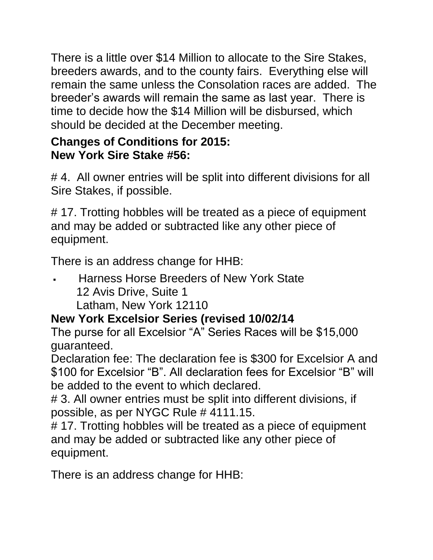There is a little over \$14 Million to allocate to the Sire Stakes, breeders awards, and to the county fairs. Everything else will remain the same unless the Consolation races are added. The breeder's awards will remain the same as last year. There is time to decide how the \$14 Million will be disbursed, which should be decided at the December meeting.

#### **Changes of Conditions for 2015: New York Sire Stake #56:**

#4. All owner entries will be split into different divisions for all Sire Stakes, if possible.

# 17. Trotting hobbles will be treated as a piece of equipment and may be added or subtracted like any other piece of equipment.

There is an address change for HHB:

 Harness Horse Breeders of New York State 12 Avis Drive, Suite 1 Latham, New York 12110

## **New York Excelsior Series (revised 10/02/14**

The purse for all Excelsior "A" Series Races will be \$15,000 guaranteed.

Declaration fee: The declaration fee is \$300 for Excelsior A and \$100 for Excelsior "B". All declaration fees for Excelsior "B" will be added to the event to which declared.

# 3. All owner entries must be split into different divisions, if possible, as per NYGC Rule # 4111.15.

# 17. Trotting hobbles will be treated as a piece of equipment and may be added or subtracted like any other piece of equipment.

There is an address change for HHB: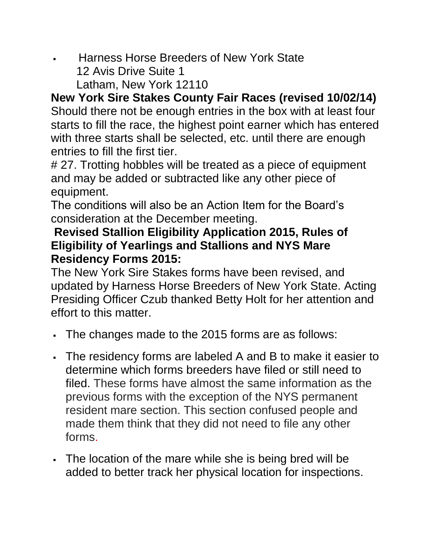- Harness Horse Breeders of New York State 12 Avis Drive Suite 1
	- Latham, New York 12110

**New York Sire Stakes County Fair Races (revised 10/02/14)** Should there not be enough entries in the box with at least four starts to fill the race, the highest point earner which has entered with three starts shall be selected, etc. until there are enough entries to fill the first tier.

# 27. Trotting hobbles will be treated as a piece of equipment and may be added or subtracted like any other piece of equipment.

The conditions will also be an Action Item for the Board's consideration at the December meeting.

#### **Revised Stallion Eligibility Application 2015, Rules of Eligibility of Yearlings and Stallions and NYS Mare Residency Forms 2015:**

The New York Sire Stakes forms have been revised, and updated by Harness Horse Breeders of New York State. Acting Presiding Officer Czub thanked Betty Holt for her attention and effort to this matter.

- The changes made to the 2015 forms are as follows:
- The residency forms are labeled A and B to make it easier to determine which forms breeders have filed or still need to filed. These forms have almost the same information as the previous forms with the exception of the NYS permanent resident mare section. This section confused people and made them think that they did not need to file any other forms.
- The location of the mare while she is being bred will be added to better track her physical location for inspections.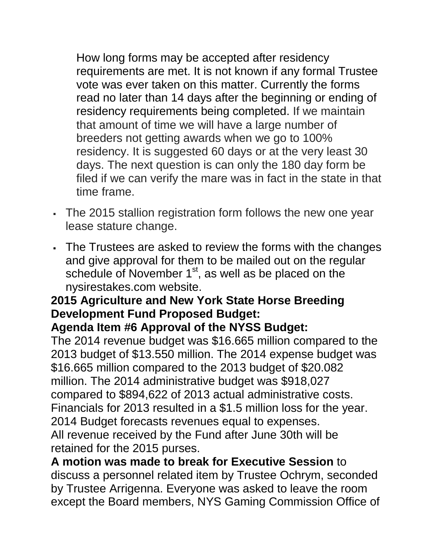How long forms may be accepted after residency requirements are met. It is not known if any formal Trustee vote was ever taken on this matter. Currently the forms read no later than 14 days after the beginning or ending of residency requirements being completed. If we maintain that amount of time we will have a large number of breeders not getting awards when we go to 100% residency. It is suggested 60 days or at the very least 30 days. The next question is can only the 180 day form be filed if we can verify the mare was in fact in the state in that time frame.

- The 2015 stallion registration form follows the new one year lease stature change.
- The Trustees are asked to review the forms with the changes and give approval for them to be mailed out on the regular schedule of November 1<sup>st</sup>, as well as be placed on the nysirestakes.com website.

# **2015 Agriculture and New York State Horse Breeding Development Fund Proposed Budget:**

#### **Agenda Item #6 Approval of the NYSS Budget:**

The 2014 revenue budget was \$16.665 million compared to the 2013 budget of \$13.550 million. The 2014 expense budget was \$16.665 million compared to the 2013 budget of \$20.082 million. The 2014 administrative budget was \$918,027 compared to \$894,622 of 2013 actual administrative costs. Financials for 2013 resulted in a \$1.5 million loss for the year. 2014 Budget forecasts revenues equal to expenses. All revenue received by the Fund after June 30th will be retained for the 2015 purses.

**A motion was made to break for Executive Session** to discuss a personnel related item by Trustee Ochrym, seconded by Trustee Arrigenna. Everyone was asked to leave the room except the Board members, NYS Gaming Commission Office of